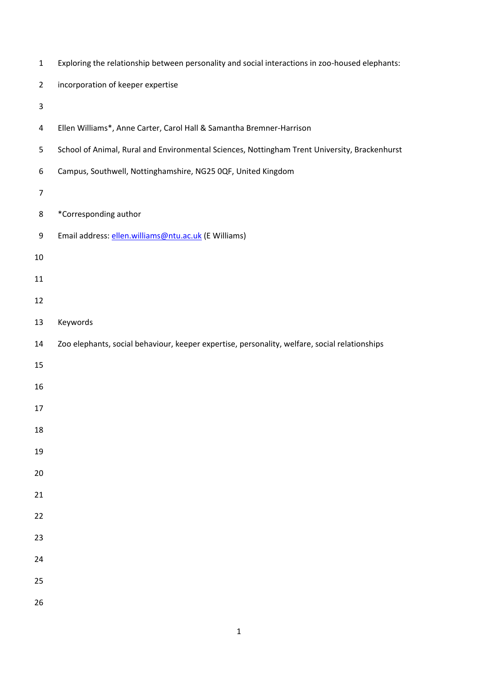| $\mathbf{1}$     | Exploring the relationship between personality and social interactions in zoo-housed elephants: |
|------------------|-------------------------------------------------------------------------------------------------|
| $\overline{2}$   | incorporation of keeper expertise                                                               |
| 3                |                                                                                                 |
| 4                | Ellen Williams*, Anne Carter, Carol Hall & Samantha Bremner-Harrison                            |
| 5                | School of Animal, Rural and Environmental Sciences, Nottingham Trent University, Brackenhurst   |
| 6                | Campus, Southwell, Nottinghamshire, NG25 0QF, United Kingdom                                    |
| $\boldsymbol{7}$ |                                                                                                 |
| 8                | *Corresponding author                                                                           |
| 9                | Email address: ellen.williams@ntu.ac.uk (E Williams)                                            |
| 10               |                                                                                                 |
| 11               |                                                                                                 |
| 12               |                                                                                                 |
| 13               | Keywords                                                                                        |
| 14               | Zoo elephants, social behaviour, keeper expertise, personality, welfare, social relationships   |
| 15               |                                                                                                 |
| 16               |                                                                                                 |
| 17               |                                                                                                 |
| 18               |                                                                                                 |
| 19               |                                                                                                 |
| 20               |                                                                                                 |
| 21               |                                                                                                 |
| 22               |                                                                                                 |
| 23               |                                                                                                 |
| 24               |                                                                                                 |
| 25               |                                                                                                 |
| 26               |                                                                                                 |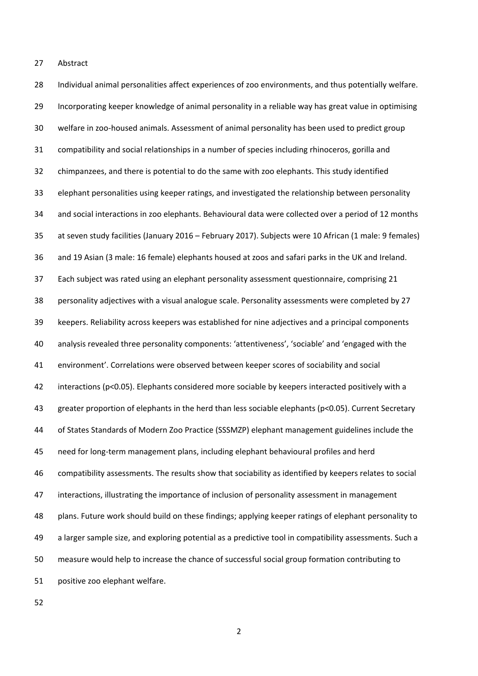Abstract

 Individual animal personalities affect experiences of zoo environments, and thus potentially welfare. Incorporating keeper knowledge of animal personality in a reliable way has great value in optimising welfare in zoo-housed animals. Assessment of animal personality has been used to predict group compatibility and social relationships in a number of species including rhinoceros, gorilla and chimpanzees, and there is potential to do the same with zoo elephants. This study identified elephant personalities using keeper ratings, and investigated the relationship between personality and social interactions in zoo elephants. Behavioural data were collected over a period of 12 months at seven study facilities (January 2016 – February 2017). Subjects were 10 African (1 male: 9 females) and 19 Asian (3 male: 16 female) elephants housed at zoos and safari parks in the UK and Ireland. Each subject was rated using an elephant personality assessment questionnaire, comprising 21 personality adjectives with a visual analogue scale. Personality assessments were completed by 27 keepers. Reliability across keepers was established for nine adjectives and a principal components analysis revealed three personality components: 'attentiveness', 'sociable' and 'engaged with the environment'. Correlations were observed between keeper scores of sociability and social 42 interactions (p<0.05). Elephants considered more sociable by keepers interacted positively with a greater proportion of elephants in the herd than less sociable elephants (p<0.05). Current Secretary of States Standards of Modern Zoo Practice (SSSMZP) elephant management guidelines include the need for long-term management plans, including elephant behavioural profiles and herd compatibility assessments. The results show that sociability as identified by keepers relates to social interactions, illustrating the importance of inclusion of personality assessment in management plans. Future work should build on these findings; applying keeper ratings of elephant personality to a larger sample size, and exploring potential as a predictive tool in compatibility assessments. Such a measure would help to increase the chance of successful social group formation contributing to positive zoo elephant welfare.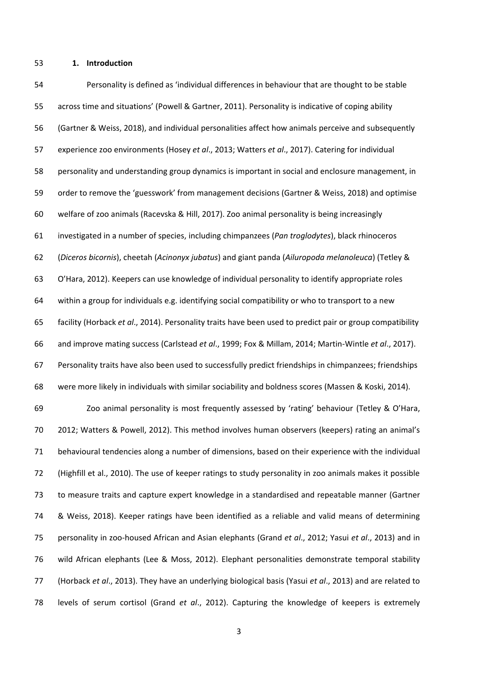## **1. Introduction**

 Personality is defined as 'individual differences in behaviour that are thought to be stable across time and situations' (Powell & Gartner, 2011). Personality is indicative of coping ability (Gartner & Weiss, 2018), and individual personalities affect how animals perceive and subsequently experience zoo environments (Hosey *et al*., 2013; Watters *et al*., 2017). Catering for individual personality and understanding group dynamics is important in social and enclosure management, in order to remove the 'guesswork' from management decisions (Gartner & Weiss, 2018) and optimise welfare of zoo animals (Racevska & Hill, 2017). Zoo animal personality is being increasingly investigated in a number of species, including chimpanzees (*Pan troglodytes*), black rhinoceros (*Diceros bicornis*), cheetah (*Acinonyx jubatus*) and giant panda (*Ailuropoda melanoleuca*) (Tetley & O'Hara, 2012). Keepers can use knowledge of individual personality to identify appropriate roles within a group for individuals e.g. identifying social compatibility or who to transport to a new facility (Horback *et al*., 2014). Personality traits have been used to predict pair or group compatibility and improve mating success (Carlstead *et al*., 1999; Fox & Millam, 2014; Martin-Wintle *et al*., 2017). Personality traits have also been used to successfully predict friendships in chimpanzees; friendships were more likely in individuals with similar sociability and boldness scores (Massen & Koski, 2014). Zoo animal personality is most frequently assessed by 'rating' behaviour (Tetley & O'Hara, 2012; Watters & Powell, 2012). This method involves human observers (keepers) rating an animal's behavioural tendencies along a number of dimensions, based on their experience with the individual (Highfill et al., 2010). The use of keeper ratings to study personality in zoo animals makes it possible to measure traits and capture expert knowledge in a standardised and repeatable manner (Gartner & Weiss, 2018). Keeper ratings have been identified as a reliable and valid means of determining

 personality in zoo-housed African and Asian elephants (Grand *et al*., 2012; Yasui *et al*., 2013) and in wild African elephants (Lee & Moss, 2012). Elephant personalities demonstrate temporal stability (Horback *et al*., 2013). They have an underlying biological basis (Yasui *et al*., 2013) and are related to levels of serum cortisol (Grand *et al*., 2012). Capturing the knowledge of keepers is extremely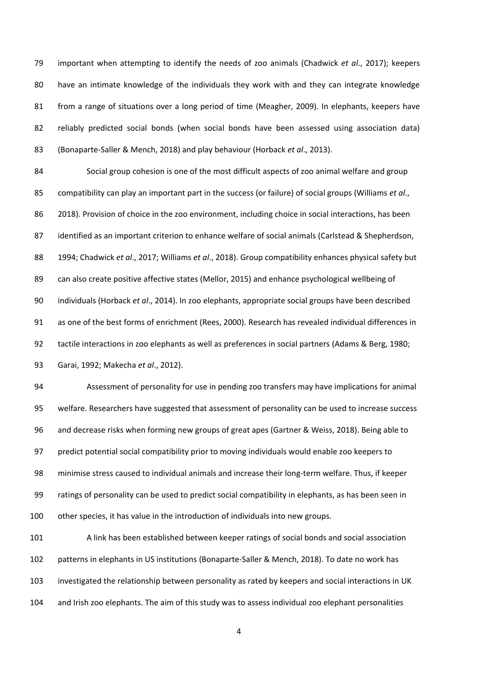important when attempting to identify the needs of zoo animals (Chadwick *et al*., 2017); keepers have an intimate knowledge of the individuals they work with and they can integrate knowledge from a range of situations over a long period of time (Meagher, 2009). In elephants, keepers have reliably predicted social bonds (when social bonds have been assessed using association data) (Bonaparte-Saller & Mench, 2018) and play behaviour (Horback *et al*., 2013).

 Social group cohesion is one of the most difficult aspects of zoo animal welfare and group compatibility can play an important part in the success (or failure) of social groups (Williams *et al*., 2018). Provision of choice in the zoo environment, including choice in social interactions, has been identified as an important criterion to enhance welfare of social animals (Carlstead & Shepherdson, 1994; Chadwick *et al*., 2017; Williams *et al*., 2018). Group compatibility enhances physical safety but can also create positive affective states (Mellor, 2015) and enhance psychological wellbeing of individuals (Horback *et al*., 2014). In zoo elephants, appropriate social groups have been described as one of the best forms of enrichment (Rees, 2000). Research has revealed individual differences in tactile interactions in zoo elephants as well as preferences in social partners (Adams & Berg, 1980; Garai, 1992; Makecha *et al*., 2012).

 Assessment of personality for use in pending zoo transfers may have implications for animal welfare. Researchers have suggested that assessment of personality can be used to increase success and decrease risks when forming new groups of great apes (Gartner & Weiss, 2018). Being able to predict potential social compatibility prior to moving individuals would enable zoo keepers to minimise stress caused to individual animals and increase their long-term welfare. Thus, if keeper ratings of personality can be used to predict social compatibility in elephants, as has been seen in other species, it has value in the introduction of individuals into new groups.

 A link has been established between keeper ratings of social bonds and social association patterns in elephants in US institutions (Bonaparte-Saller & Mench, 2018). To date no work has investigated the relationship between personality as rated by keepers and social interactions in UK and Irish zoo elephants. The aim of this study was to assess individual zoo elephant personalities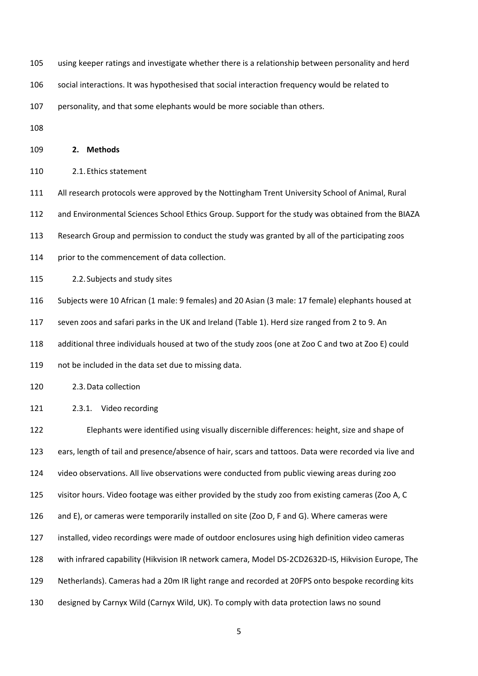using keeper ratings and investigate whether there is a relationship between personality and herd

social interactions. It was hypothesised that social interaction frequency would be related to

personality, and that some elephants would be more sociable than others.

**2. Methods**

2.1.Ethics statement

All research protocols were approved by the Nottingham Trent University School of Animal, Rural

and Environmental Sciences School Ethics Group. Support for the study was obtained from the BIAZA

Research Group and permission to conduct the study was granted by all of the participating zoos

114 prior to the commencement of data collection.

2.2. Subjects and study sites

Subjects were 10 African (1 male: 9 females) and 20 Asian (3 male: 17 female) elephants housed at

seven zoos and safari parks in the UK and Ireland (Table 1). Herd size ranged from 2 to 9. An

additional three individuals housed at two of the study zoos (one at Zoo C and two at Zoo E) could

not be included in the data set due to missing data.

2.3.Data collection

2.3.1. Video recording

 Elephants were identified using visually discernible differences: height, size and shape of ears, length of tail and presence/absence of hair, scars and tattoos. Data were recorded via live and video observations. All live observations were conducted from public viewing areas during zoo visitor hours. Video footage was either provided by the study zoo from existing cameras (Zoo A, C and E), or cameras were temporarily installed on site (Zoo D, F and G). Where cameras were installed, video recordings were made of outdoor enclosures using high definition video cameras with infrared capability (Hikvision IR network camera, Model DS-2CD2632D-IS, Hikvision Europe, The Netherlands). Cameras had a 20m IR light range and recorded at 20FPS onto bespoke recording kits designed by Carnyx Wild (Carnyx Wild, UK). To comply with data protection laws no sound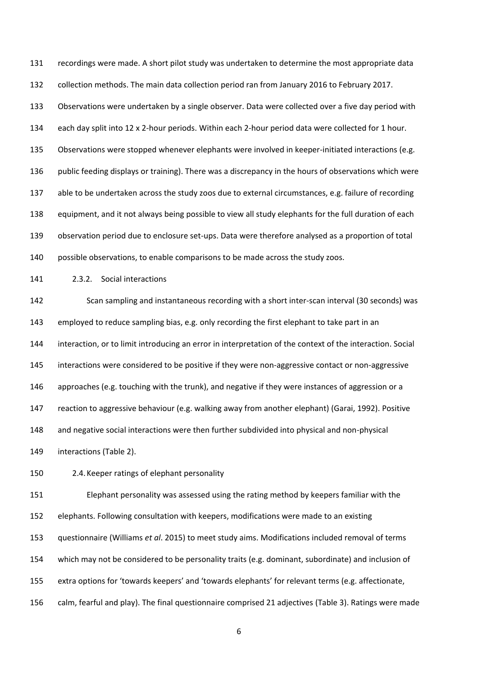recordings were made. A short pilot study was undertaken to determine the most appropriate data collection methods. The main data collection period ran from January 2016 to February 2017. Observations were undertaken by a single observer. Data were collected over a five day period with each day split into 12 x 2-hour periods. Within each 2-hour period data were collected for 1 hour. Observations were stopped whenever elephants were involved in keeper-initiated interactions (e.g. public feeding displays or training). There was a discrepancy in the hours of observations which were able to be undertaken across the study zoos due to external circumstances, e.g. failure of recording equipment, and it not always being possible to view all study elephants for the full duration of each observation period due to enclosure set-ups. Data were therefore analysed as a proportion of total possible observations, to enable comparisons to be made across the study zoos.

2.3.2. Social interactions

 Scan sampling and instantaneous recording with a short inter-scan interval (30 seconds) was employed to reduce sampling bias, e.g. only recording the first elephant to take part in an interaction, or to limit introducing an error in interpretation of the context of the interaction. Social interactions were considered to be positive if they were non-aggressive contact or non-aggressive approaches (e.g. touching with the trunk), and negative if they were instances of aggression or a reaction to aggressive behaviour (e.g. walking away from another elephant) (Garai, 1992). Positive and negative social interactions were then further subdivided into physical and non-physical interactions (Table 2).

2.4.Keeper ratings of elephant personality

 Elephant personality was assessed using the rating method by keepers familiar with the elephants. Following consultation with keepers, modifications were made to an existing questionnaire (Williams *et al*. 2015) to meet study aims. Modifications included removal of terms which may not be considered to be personality traits (e.g. dominant, subordinate) and inclusion of extra options for 'towards keepers' and 'towards elephants' for relevant terms (e.g. affectionate, calm, fearful and play). The final questionnaire comprised 21 adjectives (Table 3). Ratings were made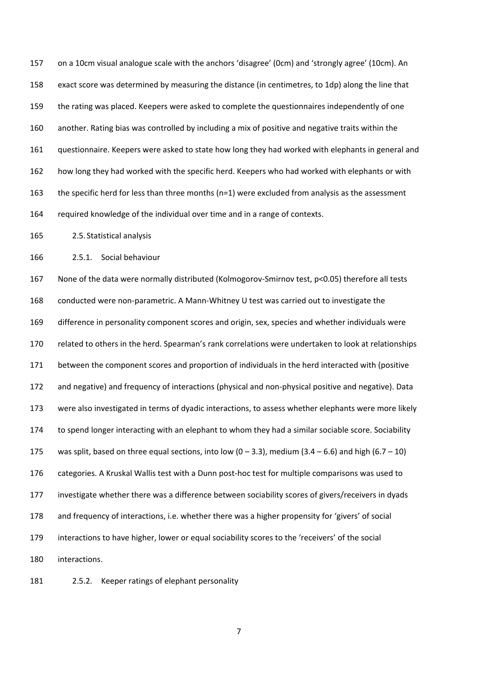on a 10cm visual analogue scale with the anchors 'disagree' (0cm) and 'strongly agree' (10cm). An exact score was determined by measuring the distance (in centimetres, to 1dp) along the line that the rating was placed. Keepers were asked to complete the questionnaires independently of one another. Rating bias was controlled by including a mix of positive and negative traits within the questionnaire. Keepers were asked to state how long they had worked with elephants in general and how long they had worked with the specific herd. Keepers who had worked with elephants or with the specific herd for less than three months (n=1) were excluded from analysis as the assessment required knowledge of the individual over time and in a range of contexts.

2.5. Statistical analysis

2.5.1. Social behaviour

 None of the data were normally distributed (Kolmogorov-Smirnov test, p<0.05) therefore all tests conducted were non-parametric. A Mann-Whitney U test was carried out to investigate the difference in personality component scores and origin, sex, species and whether individuals were related to others in the herd. Spearman's rank correlations were undertaken to look at relationships between the component scores and proportion of individuals in the herd interacted with (positive and negative) and frequency of interactions (physical and non-physical positive and negative). Data were also investigated in terms of dyadic interactions, to assess whether elephants were more likely to spend longer interacting with an elephant to whom they had a similar sociable score. Sociability 175 was split, based on three equal sections, into low  $(0 - 3.3)$ , medium  $(3.4 - 6.6)$  and high  $(6.7 - 10)$  categories. A Kruskal Wallis test with a Dunn post-hoc test for multiple comparisons was used to investigate whether there was a difference between sociability scores of givers/receivers in dyads and frequency of interactions, i.e. whether there was a higher propensity for 'givers' of social interactions to have higher, lower or equal sociability scores to the 'receivers' of the social interactions.

2.5.2. Keeper ratings of elephant personality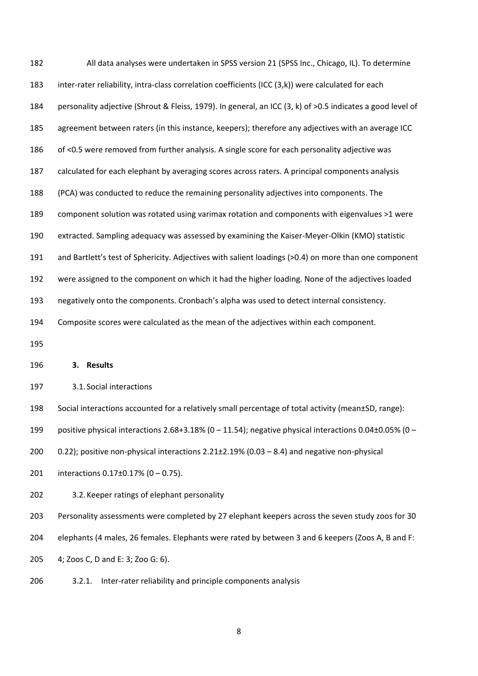| 182 | All data analyses were undertaken in SPSS version 21 (SPSS Inc., Chicago, IL). To determine                  |
|-----|--------------------------------------------------------------------------------------------------------------|
| 183 | inter-rater reliability, intra-class correlation coefficients (ICC (3,k)) were calculated for each           |
| 184 | personality adjective (Shrout & Fleiss, 1979). In general, an ICC (3, k) of >0.5 indicates a good level of   |
| 185 | agreement between raters (in this instance, keepers); therefore any adjectives with an average ICC           |
| 186 | of <0.5 were removed from further analysis. A single score for each personality adjective was                |
| 187 | calculated for each elephant by averaging scores across raters. A principal components analysis              |
| 188 | (PCA) was conducted to reduce the remaining personality adjectives into components. The                      |
| 189 | component solution was rotated using varimax rotation and components with eigenvalues >1 were                |
| 190 | extracted. Sampling adequacy was assessed by examining the Kaiser-Meyer-Olkin (KMO) statistic                |
| 191 | and Bartlett's test of Sphericity. Adjectives with salient loadings (>0.4) on more than one component        |
| 192 | were assigned to the component on which it had the higher loading. None of the adjectives loaded             |
| 193 | negatively onto the components. Cronbach's alpha was used to detect internal consistency.                    |
| 194 | Composite scores were calculated as the mean of the adjectives within each component.                        |
| 195 |                                                                                                              |
| 196 | <b>Results</b><br>3.                                                                                         |
| 197 | 3.1. Social interactions                                                                                     |
| 198 | Social interactions accounted for a relatively small percentage of total activity (mean±SD, range):          |
| 199 | positive physical interactions 2.68+3.18% ( $0 - 11.54$ ); negative physical interactions 0.04±0.05% ( $0 -$ |
| 200 | 0.22); positive non-physical interactions 2.21±2.19% (0.03 - 8.4) and negative non-physical                  |
| 201 | interactions $0.17\pm0.17\%$ (0 - 0.75).                                                                     |
|     |                                                                                                              |
| 202 | 3.2. Keeper ratings of elephant personality                                                                  |
| 203 | Personality assessments were completed by 27 elephant keepers across the seven study zoos for 30             |
| 204 | elephants (4 males, 26 females. Elephants were rated by between 3 and 6 keepers (Zoos A, B and F:            |
| 205 | 4; Zoos C, D and E: 3; Zoo G: 6).                                                                            |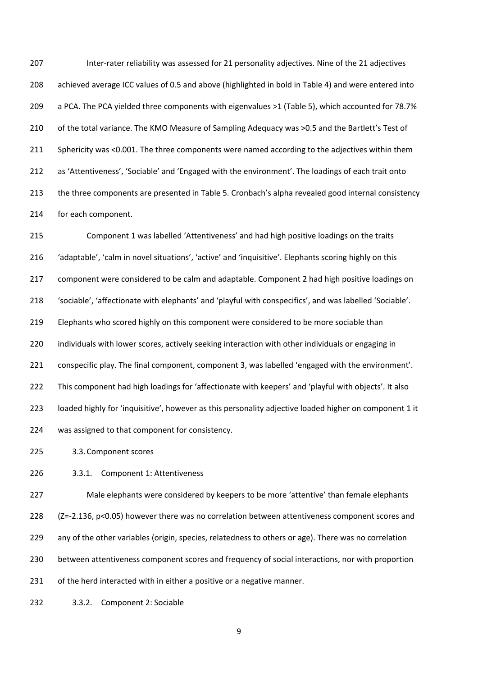Inter-rater reliability was assessed for 21 personality adjectives. Nine of the 21 adjectives achieved average ICC values of 0.5 and above (highlighted in bold in Table 4) and were entered into a PCA. The PCA yielded three components with eigenvalues >1 (Table 5), which accounted for 78.7% 210 of the total variance. The KMO Measure of Sampling Adequacy was >0.5 and the Bartlett's Test of Sphericity was <0.001. The three components were named according to the adjectives within them as 'Attentiveness', 'Sociable' and 'Engaged with the environment'. The loadings of each trait onto the three components are presented in Table 5. Cronbach's alpha revealed good internal consistency for each component.

 Component 1 was labelled 'Attentiveness' and had high positive loadings on the traits 'adaptable', 'calm in novel situations', 'active' and 'inquisitive'. Elephants scoring highly on this component were considered to be calm and adaptable. Component 2 had high positive loadings on 'sociable', 'affectionate with elephants' and 'playful with conspecifics', and was labelled 'Sociable'. Elephants who scored highly on this component were considered to be more sociable than individuals with lower scores, actively seeking interaction with other individuals or engaging in conspecific play. The final component, component 3, was labelled 'engaged with the environment'. This component had high loadings for 'affectionate with keepers' and 'playful with objects'. It also loaded highly for 'inquisitive', however as this personality adjective loaded higher on component 1 it was assigned to that component for consistency.

3.3.Component scores

3.3.1. Component 1: Attentiveness

 Male elephants were considered by keepers to be more 'attentive' than female elephants (Z=-2.136, p<0.05) however there was no correlation between attentiveness component scores and any of the other variables (origin, species, relatedness to others or age). There was no correlation between attentiveness component scores and frequency of social interactions, nor with proportion 231 of the herd interacted with in either a positive or a negative manner.

3.3.2. Component 2: Sociable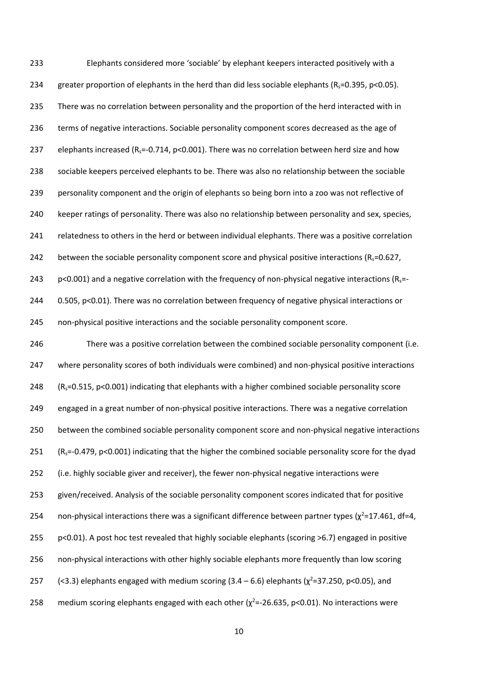Elephants considered more 'sociable' by elephant keepers interacted positively with a 234 greater proportion of elephants in the herd than did less sociable elephants  $(R_s=0.395, p<0.05)$ . There was no correlation between personality and the proportion of the herd interacted with in terms of negative interactions. Sociable personality component scores decreased as the age of 237 elephants increased ( $R_s$ =-0.714, p<0.001). There was no correlation between herd size and how sociable keepers perceived elephants to be. There was also no relationship between the sociable personality component and the origin of elephants so being born into a zoo was not reflective of keeper ratings of personality. There was also no relationship between personality and sex, species, relatedness to others in the herd or between individual elephants. There was a positive correlation 242 between the sociable personality component score and physical positive interactions ( $R_s$ =0.627, 243 p<0.001) and a negative correlation with the frequency of non-physical negative interactions ( $R_s$ =-244 0.505, p<0.01). There was no correlation between frequency of negative physical interactions or non-physical positive interactions and the sociable personality component score.

 There was a positive correlation between the combined sociable personality component (i.e. where personality scores of both individuals were combined) and non-physical positive interactions 248 ( $R_s$ =0.515, p<0.001) indicating that elephants with a higher combined sociable personality score engaged in a great number of non-physical positive interactions. There was a negative correlation between the combined sociable personality component score and non-physical negative interactions 251 ( $R_s$ =-0.479, p<0.001) indicating that the higher the combined sociable personality score for the dyad (i.e. highly sociable giver and receiver), the fewer non-physical negative interactions were given/received. Analysis of the sociable personality component scores indicated that for positive 254 non-physical interactions there was a significant difference between partner types ( $\chi^2$ =17.461, df=4, p<0.01). A post hoc test revealed that highly sociable elephants (scoring >6.7) engaged in positive non-physical interactions with other highly sociable elephants more frequently than low scoring 257 (<3.3) elephants engaged with medium scoring  $(3.4 - 6.6)$  elephants  $(\chi^2 = 37.250, \text{ p} < 0.05)$ , and 258 medium scoring elephants engaged with each other  $(\chi^2 = -26.635, p < 0.01)$ . No interactions were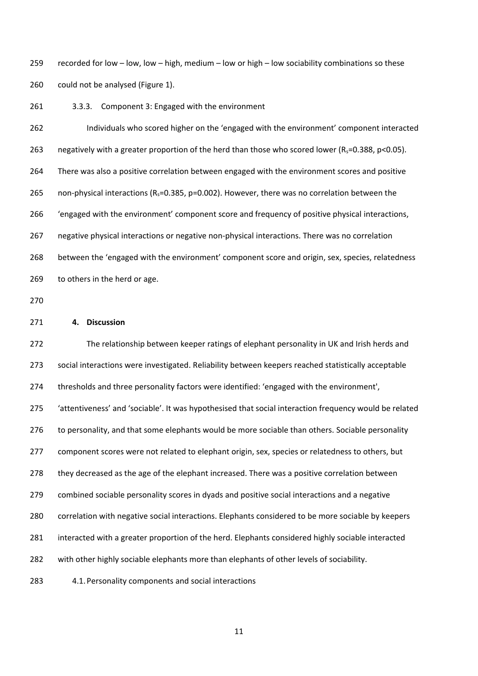recorded for low – low, low – high, medium – low or high – low sociability combinations so these could not be analysed (Figure 1).

3.3.3. Component 3: Engaged with the environment

 Individuals who scored higher on the 'engaged with the environment' component interacted 263 negatively with a greater proportion of the herd than those who scored lower ( $R_s$ =0.388, p<0.05). There was also a positive correlation between engaged with the environment scores and positive 265 non-physical interactions ( $R_s$ =0.385, p=0.002). However, there was no correlation between the 'engaged with the environment' component score and frequency of positive physical interactions, negative physical interactions or negative non-physical interactions. There was no correlation between the 'engaged with the environment' component score and origin, sex, species, relatedness to others in the herd or age.

#### **4. Discussion**

 The relationship between keeper ratings of elephant personality in UK and Irish herds and social interactions were investigated. Reliability between keepers reached statistically acceptable thresholds and three personality factors were identified: 'engaged with the environment', 'attentiveness' and 'sociable'. It was hypothesised that social interaction frequency would be related to personality, and that some elephants would be more sociable than others. Sociable personality 277 component scores were not related to elephant origin, sex, species or relatedness to others, but they decreased as the age of the elephant increased. There was a positive correlation between combined sociable personality scores in dyads and positive social interactions and a negative correlation with negative social interactions. Elephants considered to be more sociable by keepers interacted with a greater proportion of the herd. Elephants considered highly sociable interacted with other highly sociable elephants more than elephants of other levels of sociability. 4.1.Personality components and social interactions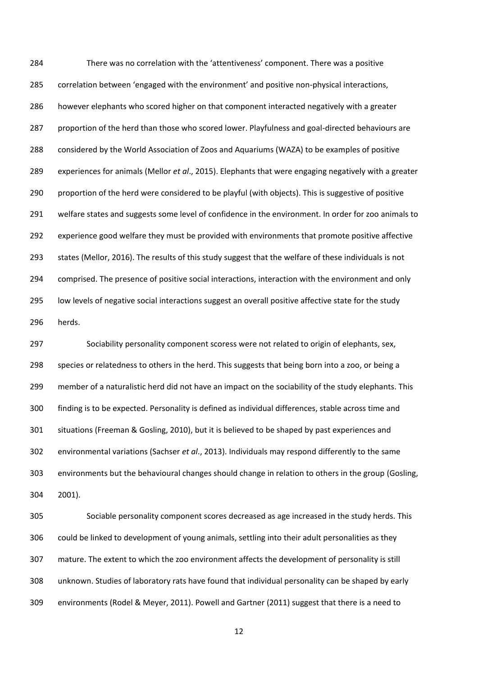There was no correlation with the 'attentiveness' component. There was a positive correlation between 'engaged with the environment' and positive non-physical interactions, however elephants who scored higher on that component interacted negatively with a greater proportion of the herd than those who scored lower. Playfulness and goal-directed behaviours are considered by the World Association of Zoos and Aquariums (WAZA) to be examples of positive experiences for animals (Mellor *et al*., 2015). Elephants that were engaging negatively with a greater proportion of the herd were considered to be playful (with objects). This is suggestive of positive welfare states and suggests some level of confidence in the environment. In order for zoo animals to experience good welfare they must be provided with environments that promote positive affective states (Mellor, 2016). The results of this study suggest that the welfare of these individuals is not comprised. The presence of positive social interactions, interaction with the environment and only low levels of negative social interactions suggest an overall positive affective state for the study herds.

 Sociability personality component scoress were not related to origin of elephants, sex, species or relatedness to others in the herd. This suggests that being born into a zoo, or being a member of a naturalistic herd did not have an impact on the sociability of the study elephants. This finding is to be expected. Personality is defined as individual differences, stable across time and situations (Freeman & Gosling, 2010), but it is believed to be shaped by past experiences and environmental variations (Sachser *et al*., 2013). Individuals may respond differently to the same environments but the behavioural changes should change in relation to others in the group (Gosling, 2001).

 Sociable personality component scores decreased as age increased in the study herds. This could be linked to development of young animals, settling into their adult personalities as they mature. The extent to which the zoo environment affects the development of personality is still unknown. Studies of laboratory rats have found that individual personality can be shaped by early environments (Rodel & Meyer, 2011). Powell and Gartner (2011) suggest that there is a need to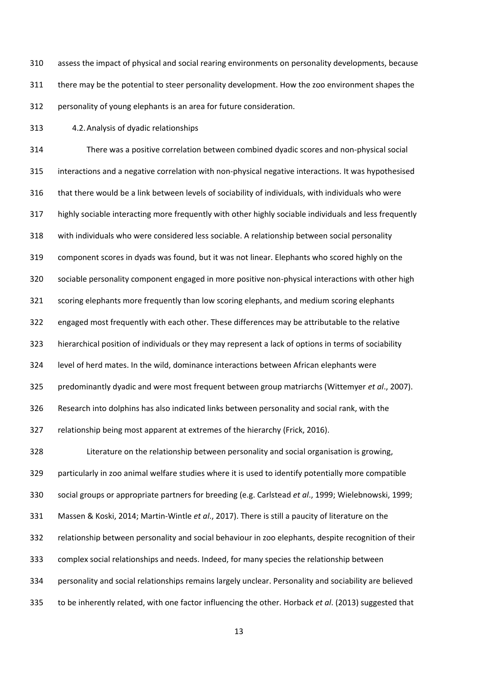assess the impact of physical and social rearing environments on personality developments, because there may be the potential to steer personality development. How the zoo environment shapes the personality of young elephants is an area for future consideration.

4.2.Analysis of dyadic relationships

 There was a positive correlation between combined dyadic scores and non-physical social interactions and a negative correlation with non-physical negative interactions. It was hypothesised that there would be a link between levels of sociability of individuals, with individuals who were highly sociable interacting more frequently with other highly sociable individuals and less frequently with individuals who were considered less sociable. A relationship between social personality component scores in dyads was found, but it was not linear. Elephants who scored highly on the sociable personality component engaged in more positive non-physical interactions with other high scoring elephants more frequently than low scoring elephants, and medium scoring elephants engaged most frequently with each other. These differences may be attributable to the relative hierarchical position of individuals or they may represent a lack of options in terms of sociability level of herd mates. In the wild, dominance interactions between African elephants were predominantly dyadic and were most frequent between group matriarchs (Wittemyer *et al*., 2007). Research into dolphins has also indicated links between personality and social rank, with the relationship being most apparent at extremes of the hierarchy (Frick, 2016). Literature on the relationship between personality and social organisation is growing, particularly in zoo animal welfare studies where it is used to identify potentially more compatible social groups or appropriate partners for breeding (e.g. Carlstead *et al*., 1999; Wielebnowski, 1999; Massen & Koski, 2014; Martin-Wintle *et al*., 2017). There is still a paucity of literature on the relationship between personality and social behaviour in zoo elephants, despite recognition of their complex social relationships and needs. Indeed, for many species the relationship between personality and social relationships remains largely unclear. Personality and sociability are believed

to be inherently related, with one factor influencing the other. Horback *et al*. (2013) suggested that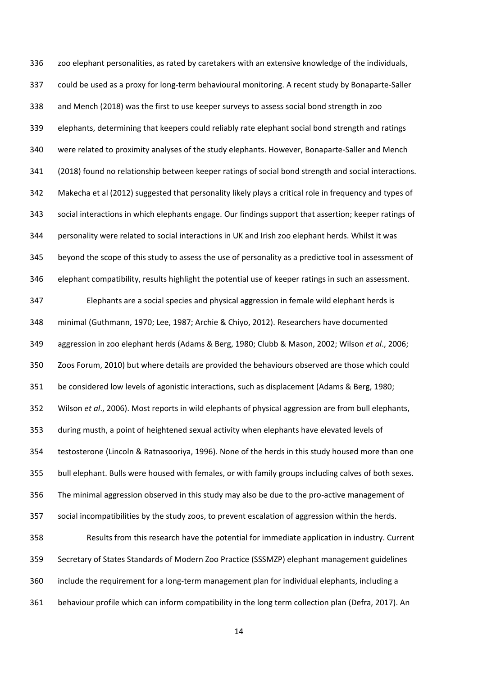zoo elephant personalities, as rated by caretakers with an extensive knowledge of the individuals, could be used as a proxy for long-term behavioural monitoring. A recent study by Bonaparte-Saller and Mench (2018) was the first to use keeper surveys to assess social bond strength in zoo elephants, determining that keepers could reliably rate elephant social bond strength and ratings were related to proximity analyses of the study elephants. However, Bonaparte-Saller and Mench (2018) found no relationship between keeper ratings of social bond strength and social interactions. Makecha et al (2012) suggested that personality likely plays a critical role in frequency and types of social interactions in which elephants engage. Our findings support that assertion; keeper ratings of personality were related to social interactions in UK and Irish zoo elephant herds. Whilst it was beyond the scope of this study to assess the use of personality as a predictive tool in assessment of elephant compatibility, results highlight the potential use of keeper ratings in such an assessment. Elephants are a social species and physical aggression in female wild elephant herds is minimal (Guthmann, 1970; Lee, 1987; Archie & Chiyo, 2012). Researchers have documented aggression in zoo elephant herds (Adams & Berg, 1980; Clubb & Mason, 2002; Wilson *et al*., 2006; Zoos Forum, 2010) but where details are provided the behaviours observed are those which could be considered low levels of agonistic interactions, such as displacement (Adams & Berg, 1980; Wilson *et al*., 2006). Most reports in wild elephants of physical aggression are from bull elephants, during musth, a point of heightened sexual activity when elephants have elevated levels of testosterone (Lincoln & Ratnasooriya, 1996). None of the herds in this study housed more than one bull elephant. Bulls were housed with females, or with family groups including calves of both sexes. The minimal aggression observed in this study may also be due to the pro-active management of social incompatibilities by the study zoos, to prevent escalation of aggression within the herds. Results from this research have the potential for immediate application in industry. Current Secretary of States Standards of Modern Zoo Practice (SSSMZP) elephant management guidelines

include the requirement for a long-term management plan for individual elephants, including a

behaviour profile which can inform compatibility in the long term collection plan (Defra, 2017). An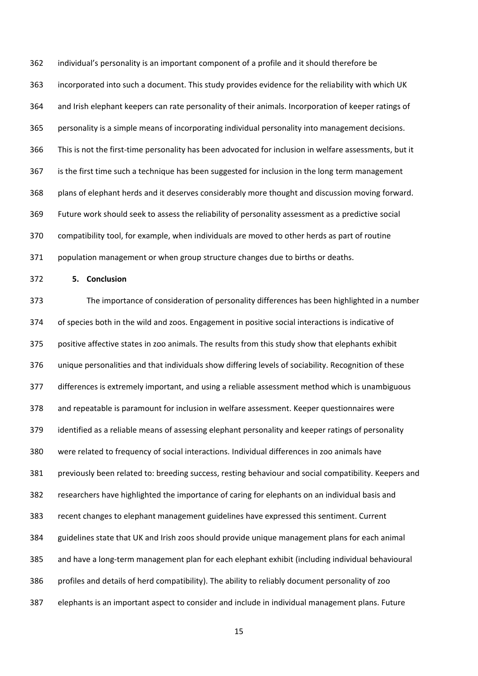individual's personality is an important component of a profile and it should therefore be incorporated into such a document. This study provides evidence for the reliability with which UK and Irish elephant keepers can rate personality of their animals. Incorporation of keeper ratings of personality is a simple means of incorporating individual personality into management decisions. This is not the first-time personality has been advocated for inclusion in welfare assessments, but it is the first time such a technique has been suggested for inclusion in the long term management plans of elephant herds and it deserves considerably more thought and discussion moving forward. Future work should seek to assess the reliability of personality assessment as a predictive social compatibility tool, for example, when individuals are moved to other herds as part of routine population management or when group structure changes due to births or deaths.

**5. Conclusion**

 The importance of consideration of personality differences has been highlighted in a number of species both in the wild and zoos. Engagement in positive social interactions is indicative of positive affective states in zoo animals. The results from this study show that elephants exhibit unique personalities and that individuals show differing levels of sociability. Recognition of these differences is extremely important, and using a reliable assessment method which is unambiguous and repeatable is paramount for inclusion in welfare assessment. Keeper questionnaires were identified as a reliable means of assessing elephant personality and keeper ratings of personality were related to frequency of social interactions. Individual differences in zoo animals have previously been related to: breeding success, resting behaviour and social compatibility. Keepers and researchers have highlighted the importance of caring for elephants on an individual basis and recent changes to elephant management guidelines have expressed this sentiment. Current guidelines state that UK and Irish zoos should provide unique management plans for each animal and have a long-term management plan for each elephant exhibit (including individual behavioural profiles and details of herd compatibility). The ability to reliably document personality of zoo elephants is an important aspect to consider and include in individual management plans. Future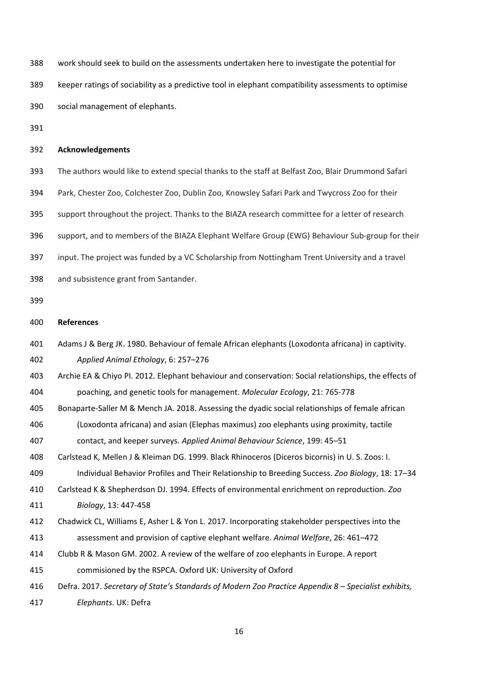work should seek to build on the assessments undertaken here to investigate the potential for keeper ratings of sociability as a predictive tool in elephant compatibility assessments to optimise social management of elephants.

### **Acknowledgements**

The authors would like to extend special thanks to the staff at Belfast Zoo, Blair Drummond Safari

Park, Chester Zoo, Colchester Zoo, Dublin Zoo, Knowsley Safari Park and Twycross Zoo for their

support throughout the project. Thanks to the BIAZA research committee for a letter of research

support, and to members of the BIAZA Elephant Welfare Group (EWG) Behaviour Sub-group for their

input. The project was funded by a VC Scholarship from Nottingham Trent University and a travel

and subsistence grant from Santander.

### **References**

Adams J & Berg JK. 1980. Behaviour of female African elephants (Loxodonta africana) in captivity.

*Applied Animal Ethology*, 6: 257–276

Archie EA & Chiyo PI. 2012. Elephant behaviour and conservation: Social relationships, the effects of

poaching, and genetic tools for management. *Molecular Ecology*, 21: 765-778

Bonaparte-Saller M & Mench JA. 2018. Assessing the dyadic social relationships of female african

(Loxodonta africana) and asian (Elephas maximus) zoo elephants using proximity, tactile

contact, and keeper surveys. *Applied Animal Behaviour Science*, 199: 45–51

Carlstead K, Mellen J & Kleiman DG. 1999. Black Rhinoceros (Diceros bicornis) in U. S. Zoos: I.

Individual Behavior Profiles and Their Relationship to Breeding Success. *Zoo Biology*, 18: 17–34

Carlstead K & Shepherdson DJ. 1994. Effects of environmental enrichment on reproduction. *Zoo* 

*Biology*, 13: 447-458

- Chadwick CL, Williams E, Asher L & Yon L. 2017. Incorporating stakeholder perspectives into the assessment and provision of captive elephant welfare. *Animal Welfare*, 26: 461–472
- Clubb R & Mason GM. 2002. A review of the welfare of zoo elephants in Europe. A report

commisioned by the RSPCA. Oxford UK: University of Oxford

Defra. 2017. *Secretary of State's Standards of Modern Zoo Practice Appendix 8 – Specialist exhibits,* 

*Elephants*. UK: Defra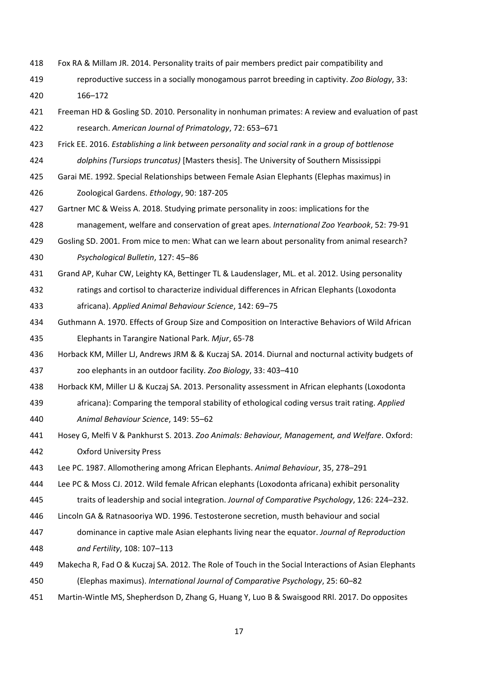- Fox RA & Millam JR. 2014. Personality traits of pair members predict pair compatibility and
- reproductive success in a socially monogamous parrot breeding in captivity. *Zoo Biology*, 33: 166–172
- Freeman HD & Gosling SD. 2010. Personality in nonhuman primates: A review and evaluation of past research. *American Journal of Primatology*, 72: 653–671
- Frick EE. 2016. *Establishing a link between personality and social rank in a group of bottlenose*
- *dolphins (Tursiops truncatus)* [Masters thesis]. The University of Southern Mississippi
- Garai ME. 1992. Special Relationships between Female Asian Elephants (Elephas maximus) in

Zoological Gardens. *Ethology*, 90: 187-205

Gartner MC & Weiss A. 2018. Studying primate personality in zoos: implications for the

management, welfare and conservation of great apes. *International Zoo Yearbook*, 52: 79-91

- Gosling SD. 2001. From mice to men: What can we learn about personality from animal research? *Psychological Bulletin*, 127: 45–86
- Grand AP, Kuhar CW, Leighty KA, Bettinger TL & Laudenslager, ML. et al. 2012. Using personality
- ratings and cortisol to characterize individual differences in African Elephants (Loxodonta africana). *Applied Animal Behaviour Science*, 142: 69–75
- Guthmann A. 1970. Effects of Group Size and Composition on Interactive Behaviors of Wild African Elephants in Tarangire National Park. *Mjur*, 65-78
- Horback KM, Miller LJ, Andrews JRM & & Kuczaj SA. 2014. Diurnal and nocturnal activity budgets of zoo elephants in an outdoor facility. *Zoo Biology*, 33: 403–410
- Horback KM, Miller LJ & Kuczaj SA. 2013. Personality assessment in African elephants (Loxodonta
- africana): Comparing the temporal stability of ethological coding versus trait rating. *Applied Animal Behaviour Science*, 149: 55–62
- Hosey G, Melfi V & Pankhurst S. 2013. *Zoo Animals: Behaviour, Management, and Welfare*. Oxford: Oxford University Press
- Lee PC. 1987. Allomothering among African Elephants. *Animal Behaviour*, 35, 278–291

Lee PC & Moss CJ. 2012. Wild female African elephants (Loxodonta africana) exhibit personality

- traits of leadership and social integration. *Journal of Comparative Psychology*, 126: 224–232.
- Lincoln GA & Ratnasooriya WD. 1996. Testosterone secretion, musth behaviour and social
- dominance in captive male Asian elephants living near the equator. *Journal of Reproduction and Fertility*, 108: 107–113
- Makecha R, Fad O & Kuczaj SA. 2012. The Role of Touch in the Social Interactions of Asian Elephants (Elephas maximus). *International Journal of Comparative Psychology*, 25: 60–82
- Martin-Wintle MS, Shepherdson D, Zhang G, Huang Y, Luo B & Swaisgood RRl. 2017. Do opposites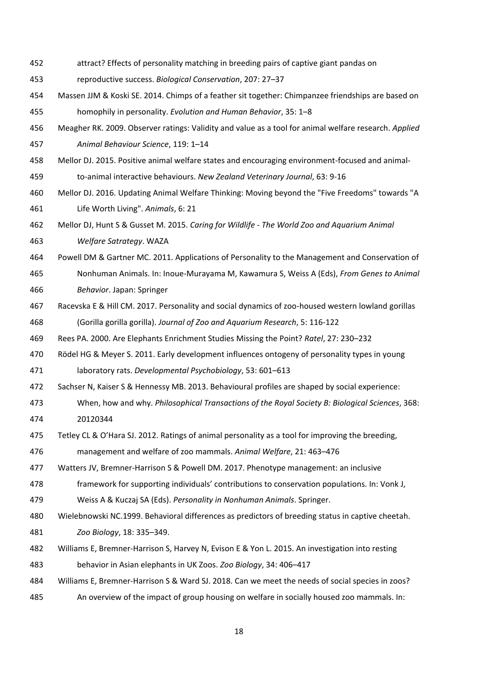- attract? Effects of personality matching in breeding pairs of captive giant pandas on
- reproductive success. *Biological Conservation*, 207: 27–37
- Massen JJM & Koski SE. 2014. Chimps of a feather sit together: Chimpanzee friendships are based on homophily in personality. *Evolution and Human Behavior*, 35: 1–8
- Meagher RK. 2009. Observer ratings: Validity and value as a tool for animal welfare research. *Applied Animal Behaviour Science*, 119: 1–14
- Mellor DJ. 2015. Positive animal welfare states and encouraging environment-focused and animal-
- to-animal interactive behaviours. *New Zealand Veterinary Journal*, 63: 9-16
- Mellor DJ. 2016. Updating Animal Welfare Thinking: Moving beyond the "Five Freedoms" towards "A Life Worth Living". *Animals*, 6: 21
- Mellor DJ, Hunt S & Gusset M. 2015. *Caring for Wildlife - The World Zoo and Aquarium Animal Welfare Satrategy*. WAZA
- Powell DM & Gartner MC. 2011. Applications of Personality to the Management and Conservation of
- Nonhuman Animals. In: Inoue-Murayama M, Kawamura S, Weiss A (Eds), *From Genes to Animal Behavior*. Japan: Springer
- Racevska E & Hill CM. 2017. Personality and social dynamics of zoo-housed western lowland gorillas (Gorilla gorilla gorilla). *Journal of Zoo and Aquarium Research*, 5: 116-122
- Rees PA. 2000. Are Elephants Enrichment Studies Missing the Point? *Ratel*, 27: 230–232
- Rödel HG & Meyer S. 2011. Early development influences ontogeny of personality types in young laboratory rats. *Developmental Psychobiology*, 53: 601–613
- Sachser N, Kaiser S & Hennessy MB. 2013. Behavioural profiles are shaped by social experience:
- When, how and why. *Philosophical Transactions of the Royal Society B: Biological Sciences*, 368: 20120344
- Tetley CL & O'Hara SJ. 2012. Ratings of animal personality as a tool for improving the breeding,

management and welfare of zoo mammals. *Animal Welfare*, 21: 463–476

- Watters JV, Bremner-Harrison S & Powell DM. 2017. Phenotype management: an inclusive
- framework for supporting individuals' contributions to conservation populations. In: Vonk J,
- Weiss A & Kuczaj SA (Eds). *Personality in Nonhuman Animals*. Springer.
- Wielebnowski NC.1999. Behavioral differences as predictors of breeding status in captive cheetah.
- *Zoo Biology*, 18: 335–349.
- Williams E, Bremner-Harrison S, Harvey N, Evison E & Yon L. 2015. An investigation into resting
- behavior in Asian elephants in UK Zoos. *Zoo Biology*, 34: 406–417
- Williams E, Bremner-Harrison S & Ward SJ. 2018. Can we meet the needs of social species in zoos?
- An overview of the impact of group housing on welfare in socially housed zoo mammals. In: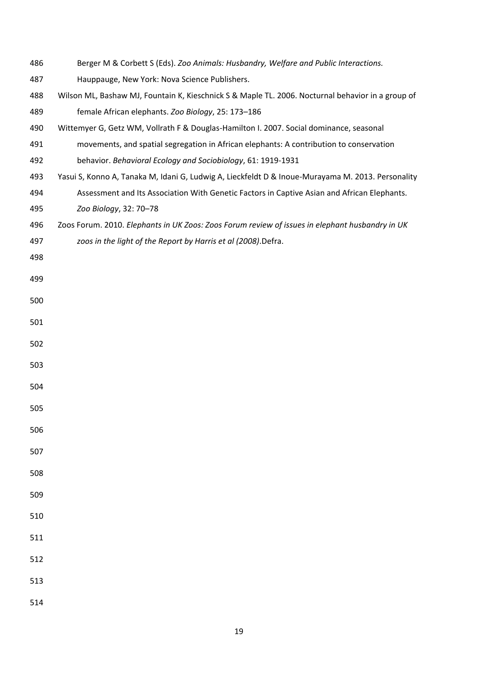| 486 | Berger M & Corbett S (Eds). Zoo Animals: Husbandry, Welfare and Public Interactions.              |
|-----|---------------------------------------------------------------------------------------------------|
| 487 | Hauppauge, New York: Nova Science Publishers.                                                     |
| 488 | Wilson ML, Bashaw MJ, Fountain K, Kieschnick S & Maple TL. 2006. Nocturnal behavior in a group of |
| 489 | female African elephants. Zoo Biology, 25: 173-186                                                |
| 490 | Wittemyer G, Getz WM, Vollrath F & Douglas-Hamilton I. 2007. Social dominance, seasonal           |
| 491 | movements, and spatial segregation in African elephants: A contribution to conservation           |
| 492 | behavior. Behavioral Ecology and Sociobiology, 61: 1919-1931                                      |
| 493 | Yasui S, Konno A, Tanaka M, Idani G, Ludwig A, Lieckfeldt D & Inoue-Murayama M. 2013. Personality |
| 494 | Assessment and Its Association With Genetic Factors in Captive Asian and African Elephants.       |
| 495 | Zoo Biology, 32: 70-78                                                                            |
| 496 | Zoos Forum. 2010. Elephants in UK Zoos: Zoos Forum review of issues in elephant husbandry in UK   |
| 497 | zoos in the light of the Report by Harris et al (2008).Defra.                                     |
| 498 |                                                                                                   |
| 499 |                                                                                                   |
| 500 |                                                                                                   |
| 501 |                                                                                                   |
| 502 |                                                                                                   |
| 503 |                                                                                                   |
| 504 |                                                                                                   |
| 505 |                                                                                                   |
| 506 |                                                                                                   |
| 507 |                                                                                                   |
| 508 |                                                                                                   |
| 509 |                                                                                                   |
| 510 |                                                                                                   |
| 511 |                                                                                                   |
| 512 |                                                                                                   |
| 513 |                                                                                                   |
| 514 |                                                                                                   |
|     |                                                                                                   |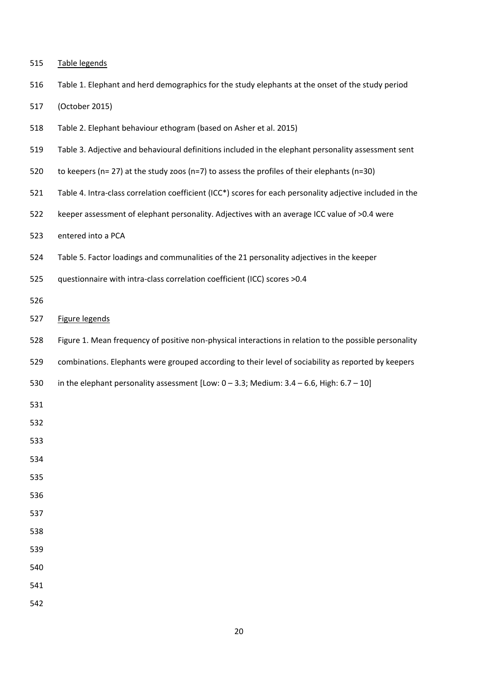|  | 515 | Table legends |  |
|--|-----|---------------|--|
|--|-----|---------------|--|

Table 1. Elephant and herd demographics for the study elephants at the onset of the study period

(October 2015)

- Table 2. Elephant behaviour ethogram (based on Asher et al. 2015)
- Table 3. Adjective and behavioural definitions included in the elephant personality assessment sent
- to keepers (n= 27) at the study zoos (n=7) to assess the profiles of their elephants (n=30)
- Table 4. Intra-class correlation coefficient (ICC\*) scores for each personality adjective included in the
- keeper assessment of elephant personality. Adjectives with an average ICC value of >0.4 were
- entered into a PCA
- Table 5. Factor loadings and communalities of the 21 personality adjectives in the keeper
- questionnaire with intra-class correlation coefficient (ICC) scores >0.4
- 
- Figure legends
- Figure 1. Mean frequency of positive non-physical interactions in relation to the possible personality
- combinations. Elephants were grouped according to their level of sociability as reported by keepers
- in the elephant personality assessment [Low: 0 3.3; Medium: 3.4 6.6, High: 6.7 10]
- 
- 
- 
- 
- 
- 
- 
- 
- 
- 
-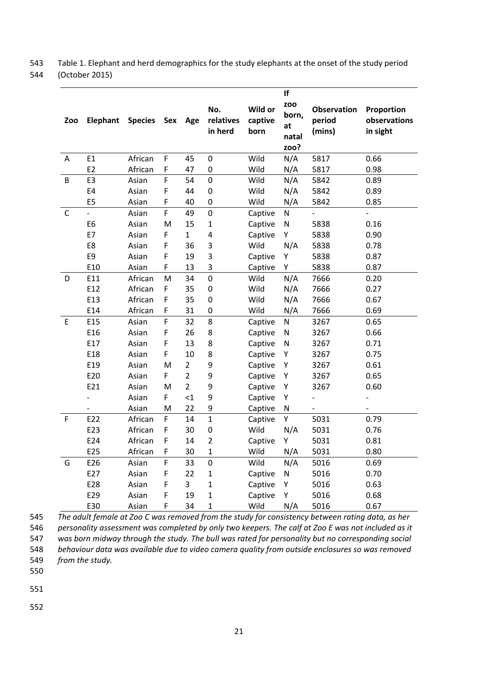543 Table 1. Elephant and herd demographics for the study elephants at the onset of the study period 544 (October 2015)

|             |                          |                |     |                |                             |                            | If                                         |                                        |                                        |
|-------------|--------------------------|----------------|-----|----------------|-----------------------------|----------------------------|--------------------------------------------|----------------------------------------|----------------------------------------|
| Zoo         | <b>Elephant</b>          | <b>Species</b> | Sex | Age            | No.<br>relatives<br>in herd | Wild or<br>captive<br>born | <b>ZOO</b><br>born,<br>at<br>natal<br>zoo? | <b>Observation</b><br>period<br>(mins) | Proportion<br>observations<br>in sight |
| A           | E1                       | African        | F   | 45             | 0                           | Wild                       | N/A                                        | 5817                                   | 0.66                                   |
|             | E <sub>2</sub>           | African        | F   | 47             | 0                           | Wild                       | N/A                                        | 5817                                   | 0.98                                   |
| B           | E3                       | Asian          | F   | 54             | $\mathbf 0$                 | Wild                       | N/A                                        | 5842                                   | 0.89                                   |
|             | E4                       | Asian          | F   | 44             | $\mathbf 0$                 | Wild                       | N/A                                        | 5842                                   | 0.89                                   |
|             | E <sub>5</sub>           | Asian          | F   | 40             | $\mathbf 0$                 | Wild                       | N/A                                        | 5842                                   | 0.85                                   |
| C           | $\overline{\phantom{0}}$ | Asian          | F   | 49             | 0                           | Captive                    | $\mathsf{N}$                               | $\overline{\phantom{0}}$               | $\overline{a}$                         |
|             | E <sub>6</sub>           | Asian          | M   | 15             | $\mathbf{1}$                | Captive                    | N                                          | 5838                                   | 0.16                                   |
|             | E7                       | Asian          | F   | $\mathbf{1}$   | 4                           | Captive                    | Υ                                          | 5838                                   | 0.90                                   |
|             | E8                       | Asian          | F   | 36             | 3                           | Wild                       | N/A                                        | 5838                                   | 0.78                                   |
|             | E9                       | Asian          | F   | 19             | 3                           | Captive                    | Υ                                          | 5838                                   | 0.87                                   |
|             | E10                      | Asian          | F   | 13             | 3                           | Captive                    | Υ                                          | 5838                                   | 0.87                                   |
| D           | E11                      | African        | M   | 34             | $\mathbf 0$                 | Wild                       | N/A                                        | 7666                                   | 0.20                                   |
|             | E12                      | African        | F   | 35             | 0                           | Wild                       | N/A                                        | 7666                                   | 0.27                                   |
|             | E13                      | African        | F   | 35             | 0                           | Wild                       | N/A                                        | 7666                                   | 0.67                                   |
|             | E14                      | African        | F   | 31             | 0                           | Wild                       | N/A                                        | 7666                                   | 0.69                                   |
| $\mathsf E$ | E15                      | Asian          | F   | 32             | 8                           | Captive                    | ${\sf N}$                                  | 3267                                   | 0.65                                   |
|             | E16                      | Asian          | F   | 26             | 8                           | Captive                    | N                                          | 3267                                   | 0.66                                   |
|             | E17                      | Asian          | F   | 13             | 8                           | Captive                    | N                                          | 3267                                   | 0.71                                   |
|             | E18                      | Asian          | F   | 10             | 8                           | Captive                    | Υ                                          | 3267                                   | 0.75                                   |
|             | E19                      | Asian          | M   | $\overline{2}$ | 9                           | Captive                    | Υ                                          | 3267                                   | 0.61                                   |
|             | E20                      | Asian          | F   | $\overline{2}$ | 9                           | Captive                    | Υ                                          | 3267                                   | 0.65                                   |
|             | E21                      | Asian          | M   | $\overline{2}$ | 9                           | Captive                    | Υ                                          | 3267                                   | 0.60                                   |
|             |                          | Asian          | F   | $\leq$ 1       | 9                           | Captive                    | Υ                                          |                                        |                                        |
|             |                          | Asian          | M   | 22             | 9                           | Captive                    | N                                          |                                        |                                        |
| $\mathsf F$ | E22                      | African        | F   | 14             | $\mathbf{1}$                | Captive                    | Υ                                          | 5031                                   | 0.79                                   |
|             | E23                      | African        | F   | 30             | 0                           | Wild                       | N/A                                        | 5031                                   | 0.76                                   |
|             | E24                      | African        | F   | 14             | 2                           | Captive                    | Υ                                          | 5031                                   | 0.81                                   |
|             | E25                      | African        | F   | 30             | $\mathbf 1$                 | Wild                       | N/A                                        | 5031                                   | 0.80                                   |
| G           | E26                      | Asian          | F   | 33             | 0                           | Wild                       | N/A                                        | 5016                                   | 0.69                                   |
|             | E27                      | Asian          | F   | 22             | 1                           | Captive                    | N                                          | 5016                                   | 0.70                                   |
|             | E28                      | Asian          | F   | 3              | $\mathbf 1$                 | Captive                    | Υ                                          | 5016                                   | 0.63                                   |
|             | E29                      | Asian          | F   | 19             | 1                           | Captive                    | Υ                                          | 5016                                   | 0.68                                   |
|             | E30                      | Asian          | F   | 34             | $\mathbf 1$                 | Wild                       | N/A                                        | 5016                                   | 0.67                                   |

 *The adult female at Zoo C was removed from the study for consistency between rating data, as her personality assessment was completed by only two keepers. The calf at Zoo E was not included as it was born midway through the study. The bull was rated for personality but no corresponding social behaviour data was available due to video camera quality from outside enclosures so was removed* 

549 *from the study.* 

550

551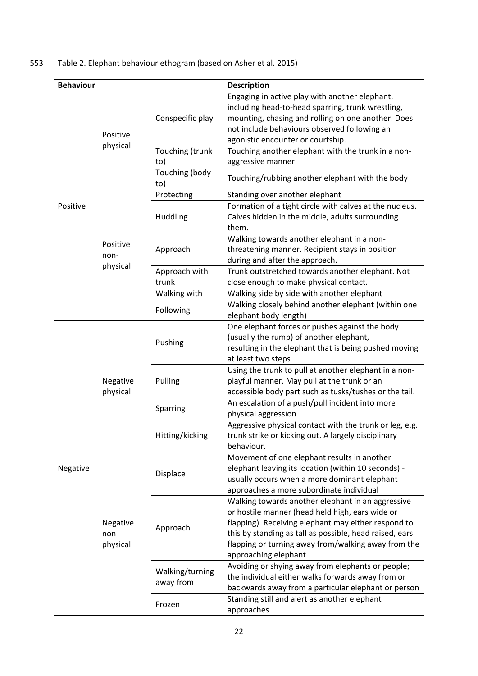# 553 Table 2. Elephant behaviour ethogram (based on Asher et al. 2015)

| <b>Behaviour</b> |                              |                              | <b>Description</b>                                                                                                                                                                                                                                                                                    |  |  |  |  |
|------------------|------------------------------|------------------------------|-------------------------------------------------------------------------------------------------------------------------------------------------------------------------------------------------------------------------------------------------------------------------------------------------------|--|--|--|--|
|                  |                              | Conspecific play             | Engaging in active play with another elephant,<br>including head-to-head sparring, trunk wrestling,<br>mounting, chasing and rolling on one another. Does<br>not include behaviours observed following an                                                                                             |  |  |  |  |
|                  | Positive                     |                              | agonistic encounter or courtship.                                                                                                                                                                                                                                                                     |  |  |  |  |
|                  | physical                     | Touching (trunk              | Touching another elephant with the trunk in a non-                                                                                                                                                                                                                                                    |  |  |  |  |
|                  |                              | to)                          | aggressive manner                                                                                                                                                                                                                                                                                     |  |  |  |  |
|                  |                              | Touching (body<br>to)        | Touching/rubbing another elephant with the body                                                                                                                                                                                                                                                       |  |  |  |  |
| Positive         |                              | Protecting                   | Standing over another elephant                                                                                                                                                                                                                                                                        |  |  |  |  |
|                  |                              | Huddling                     | Formation of a tight circle with calves at the nucleus.<br>Calves hidden in the middle, adults surrounding<br>them.                                                                                                                                                                                   |  |  |  |  |
|                  | Positive<br>non-             | Approach                     | Walking towards another elephant in a non-<br>threatening manner. Recipient stays in position<br>during and after the approach.<br>Trunk outstretched towards another elephant. Not                                                                                                                   |  |  |  |  |
|                  | physical                     | Approach with                |                                                                                                                                                                                                                                                                                                       |  |  |  |  |
|                  |                              | trunk                        | close enough to make physical contact.                                                                                                                                                                                                                                                                |  |  |  |  |
|                  |                              | Walking with                 | Walking side by side with another elephant                                                                                                                                                                                                                                                            |  |  |  |  |
|                  |                              | Following                    | Walking closely behind another elephant (within one<br>elephant body length)                                                                                                                                                                                                                          |  |  |  |  |
|                  |                              | Pushing                      | One elephant forces or pushes against the body<br>(usually the rump) of another elephant,<br>resulting in the elephant that is being pushed moving                                                                                                                                                    |  |  |  |  |
|                  |                              |                              | at least two steps                                                                                                                                                                                                                                                                                    |  |  |  |  |
|                  |                              | Pulling                      | Using the trunk to pull at another elephant in a non-                                                                                                                                                                                                                                                 |  |  |  |  |
|                  | Negative                     |                              | playful manner. May pull at the trunk or an                                                                                                                                                                                                                                                           |  |  |  |  |
|                  | physical                     |                              | accessible body part such as tusks/tushes or the tail.<br>An escalation of a push/pull incident into more                                                                                                                                                                                             |  |  |  |  |
|                  |                              | Sparring                     | physical aggression                                                                                                                                                                                                                                                                                   |  |  |  |  |
|                  |                              | Hitting/kicking              | Aggressive physical contact with the trunk or leg, e.g.<br>trunk strike or kicking out. A largely disciplinary<br>behaviour.                                                                                                                                                                          |  |  |  |  |
| Negative         |                              | Displace                     | Movement of one elephant results in another<br>elephant leaving its location (within 10 seconds) -<br>usually occurs when a more dominant elephant<br>approaches a more subordinate individual                                                                                                        |  |  |  |  |
|                  | Negative<br>non-<br>physical | Approach                     | Walking towards another elephant in an aggressive<br>or hostile manner (head held high, ears wide or<br>flapping). Receiving elephant may either respond to<br>this by standing as tall as possible, head raised, ears<br>flapping or turning away from/walking away from the<br>approaching elephant |  |  |  |  |
|                  |                              | Walking/turning<br>away from | Avoiding or shying away from elephants or people;<br>the individual either walks forwards away from or<br>backwards away from a particular elephant or person                                                                                                                                         |  |  |  |  |
|                  |                              | Frozen                       | Standing still and alert as another elephant<br>approaches                                                                                                                                                                                                                                            |  |  |  |  |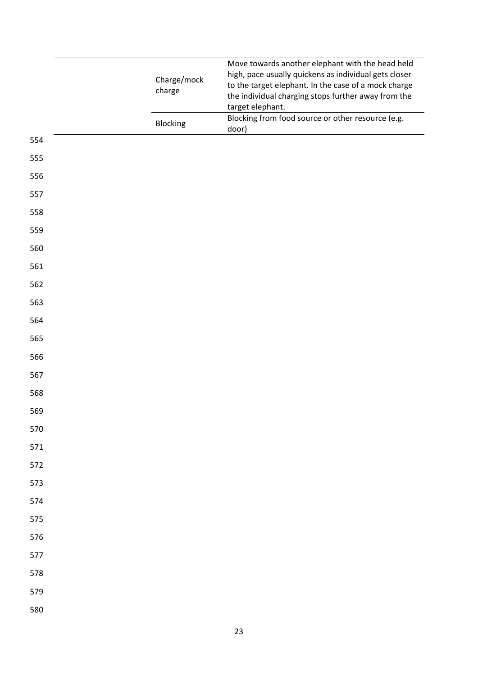|     |             | Move towards another elephant with the head held                                                            |
|-----|-------------|-------------------------------------------------------------------------------------------------------------|
|     | Charge/mock | high, pace usually quickens as individual gets closer                                                       |
|     | charge      | to the target elephant. In the case of a mock charge<br>the individual charging stops further away from the |
|     |             | target elephant.                                                                                            |
|     | Blocking    | Blocking from food source or other resource (e.g.                                                           |
| 554 |             | door)                                                                                                       |
| 555 |             |                                                                                                             |
| 556 |             |                                                                                                             |
| 557 |             |                                                                                                             |
| 558 |             |                                                                                                             |
| 559 |             |                                                                                                             |
| 560 |             |                                                                                                             |
| 561 |             |                                                                                                             |
| 562 |             |                                                                                                             |
| 563 |             |                                                                                                             |
| 564 |             |                                                                                                             |
| 565 |             |                                                                                                             |
| 566 |             |                                                                                                             |
| 567 |             |                                                                                                             |
| 568 |             |                                                                                                             |
| 569 |             |                                                                                                             |
| 570 |             |                                                                                                             |
| 571 |             |                                                                                                             |
| 572 |             |                                                                                                             |
| 573 |             |                                                                                                             |
| 574 |             |                                                                                                             |
| 575 |             |                                                                                                             |
| 576 |             |                                                                                                             |
| 577 |             |                                                                                                             |
| 578 |             |                                                                                                             |
| 579 |             |                                                                                                             |
| 580 |             |                                                                                                             |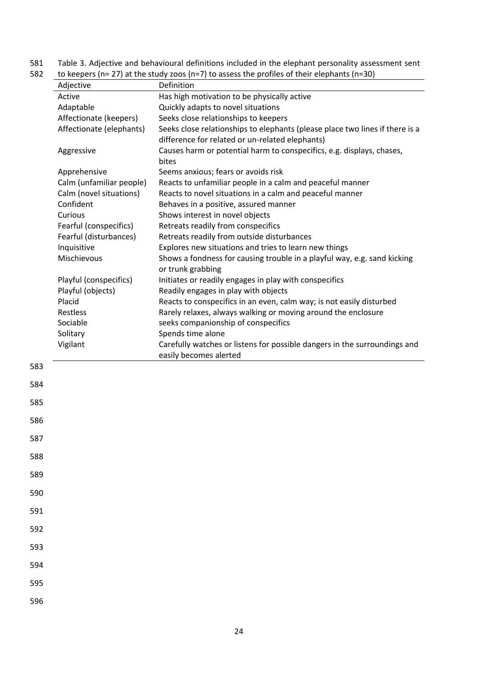581 Table 3. Adjective and behavioural definitions included in the elephant personality assessment sent<br>582 to keepers (n= 27) at the study zoos (n=7) to assess the profiles of their elephants (n=30)

| 582 | to keepers (n= 27) at the study zoos (n=7) to assess the profiles of their elephants (n=30) |  |  |
|-----|---------------------------------------------------------------------------------------------|--|--|
|-----|---------------------------------------------------------------------------------------------|--|--|

|     | Adjective                   | Definition                                                                                                                      |
|-----|-----------------------------|---------------------------------------------------------------------------------------------------------------------------------|
|     | Active                      | Has high motivation to be physically active                                                                                     |
|     | Adaptable                   | Quickly adapts to novel situations                                                                                              |
|     | Affectionate (keepers)      | Seeks close relationships to keepers                                                                                            |
|     | Affectionate (elephants)    | Seeks close relationships to elephants (please place two lines if there is a<br>difference for related or un-related elephants) |
|     | Aggressive                  | Causes harm or potential harm to conspecifics, e.g. displays, chases,<br>bites                                                  |
|     | Apprehensive                | Seems anxious; fears or avoids risk                                                                                             |
|     | Calm (unfamiliar people)    | Reacts to unfamiliar people in a calm and peaceful manner                                                                       |
|     | Calm (novel situations)     | Reacts to novel situations in a calm and peaceful manner                                                                        |
|     | Confident                   | Behaves in a positive, assured manner                                                                                           |
|     | Curious                     | Shows interest in novel objects                                                                                                 |
|     | Fearful (conspecifics)      | Retreats readily from conspecifics                                                                                              |
|     | Fearful (disturbances)      | Retreats readily from outside disturbances                                                                                      |
|     | Inquisitive                 | Explores new situations and tries to learn new things                                                                           |
|     | Mischievous                 | Shows a fondness for causing trouble in a playful way, e.g. sand kicking                                                        |
|     |                             | or trunk grabbing                                                                                                               |
|     | Playful (conspecifics)      | Initiates or readily engages in play with conspecifics                                                                          |
|     | Playful (objects)<br>Placid | Readily engages in play with objects<br>Reacts to conspecifics in an even, calm way; is not easily disturbed                    |
|     | Restless                    | Rarely relaxes, always walking or moving around the enclosure                                                                   |
|     | Sociable                    | seeks companionship of conspecifics                                                                                             |
|     | Solitary                    | Spends time alone                                                                                                               |
|     | Vigilant                    | Carefully watches or listens for possible dangers in the surroundings and                                                       |
|     |                             | easily becomes alerted                                                                                                          |
| 583 |                             |                                                                                                                                 |
| 584 |                             |                                                                                                                                 |
| 585 |                             |                                                                                                                                 |
| 586 |                             |                                                                                                                                 |
| 587 |                             |                                                                                                                                 |
| 588 |                             |                                                                                                                                 |
| 589 |                             |                                                                                                                                 |
| 590 |                             |                                                                                                                                 |
| 591 |                             |                                                                                                                                 |
| 592 |                             |                                                                                                                                 |
| 593 |                             |                                                                                                                                 |
| 594 |                             |                                                                                                                                 |
| 595 |                             |                                                                                                                                 |
| 596 |                             |                                                                                                                                 |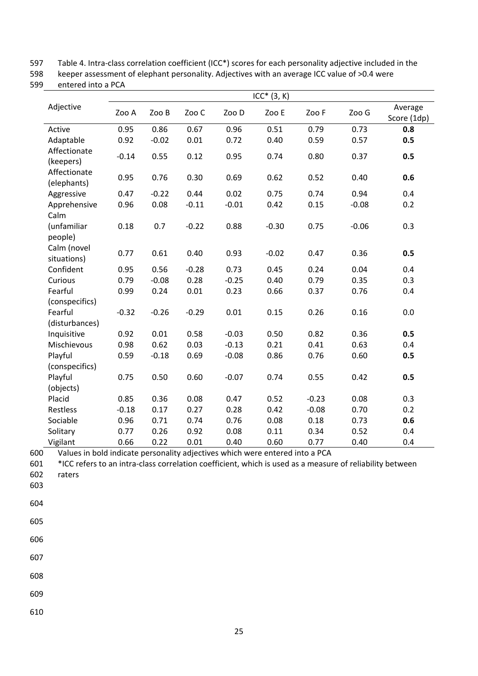597 Table 4. Intra-class correlation coefficient (ICC\*) scores for each personality adjective included in the

598 keeper assessment of elephant personality. Adjectives with an average ICC value of >0.4 were

599 entered into a PCA

|                             |         |         |         |         | $ICC*$ $(3, K)$ |         |         |                        |
|-----------------------------|---------|---------|---------|---------|-----------------|---------|---------|------------------------|
| Adjective                   | Zoo A   | Zoo B   | Zoo C   | Zoo D   | Zoo E           | Zoo F   | Zoo G   | Average<br>Score (1dp) |
| Active                      | 0.95    | 0.86    | 0.67    | 0.96    | 0.51            | 0.79    | 0.73    | 0.8                    |
| Adaptable                   | 0.92    | $-0.02$ | 0.01    | 0.72    | 0.40            | 0.59    | 0.57    | 0.5                    |
| Affectionate<br>(keepers)   | $-0.14$ | 0.55    | 0.12    | 0.95    | 0.74            | 0.80    | 0.37    | 0.5                    |
| Affectionate<br>(elephants) | 0.95    | 0.76    | 0.30    | 0.69    | 0.62            | 0.52    | 0.40    | 0.6                    |
| Aggressive                  | 0.47    | $-0.22$ | 0.44    | 0.02    | 0.75            | 0.74    | 0.94    | 0.4                    |
| Apprehensive<br>Calm        | 0.96    | 0.08    | $-0.11$ | $-0.01$ | 0.42            | 0.15    | $-0.08$ | 0.2                    |
| (unfamiliar<br>people)      | 0.18    | 0.7     | $-0.22$ | 0.88    | $-0.30$         | 0.75    | $-0.06$ | 0.3                    |
| Calm (novel<br>situations)  | 0.77    | 0.61    | 0.40    | 0.93    | $-0.02$         | 0.47    | 0.36    | 0.5                    |
| Confident                   | 0.95    | 0.56    | $-0.28$ | 0.73    | 0.45            | 0.24    | 0.04    | 0.4                    |
| Curious                     | 0.79    | $-0.08$ | 0.28    | $-0.25$ | 0.40            | 0.79    | 0.35    | 0.3                    |
| Fearful                     | 0.99    | 0.24    | 0.01    | 0.23    | 0.66            | 0.37    | 0.76    | 0.4                    |
| (conspecifics)              |         |         |         |         |                 |         |         |                        |
| Fearful                     | $-0.32$ | $-0.26$ | $-0.29$ | 0.01    | 0.15            | 0.26    | 0.16    | 0.0                    |
| (disturbances)              |         |         |         |         |                 |         |         |                        |
| Inquisitive                 | 0.92    | 0.01    | 0.58    | $-0.03$ | 0.50            | 0.82    | 0.36    | 0.5                    |
| Mischievous                 | 0.98    | 0.62    | 0.03    | $-0.13$ | 0.21            | 0.41    | 0.63    | 0.4                    |
| Playful                     | 0.59    | $-0.18$ | 0.69    | $-0.08$ | 0.86            | 0.76    | 0.60    | 0.5                    |
| (conspecifics)              |         |         |         |         |                 |         |         |                        |
| Playful                     | 0.75    | 0.50    | 0.60    | $-0.07$ | 0.74            | 0.55    | 0.42    | 0.5                    |
| (objects)                   |         |         |         |         |                 |         |         |                        |
| Placid                      | 0.85    | 0.36    | 0.08    | 0.47    | 0.52            | $-0.23$ | 0.08    | 0.3                    |
| Restless                    | $-0.18$ | 0.17    | 0.27    | 0.28    | 0.42            | $-0.08$ | 0.70    | 0.2                    |
| Sociable                    | 0.96    | 0.71    | 0.74    | 0.76    | 0.08            | 0.18    | 0.73    | 0.6                    |
| Solitary                    | 0.77    | 0.26    | 0.92    | 0.08    | 0.11            | 0.34    | 0.52    | 0.4                    |
| Vigilant                    | 0.66    | 0.22    | 0.01    | 0.40    | 0.60            | 0.77    | 0.40    | 0.4                    |

600 Values in bold indicate personality adjectives which were entered into a PCA<br>601 \*ICC refers to an intra-class correlation coefficient, which is used as a measur

\*ICC refers to an intra-class correlation coefficient, which is used as a measure of reliability between 602 raters

- 603
- 604
- 605
- 606

- 608
- 609
- 610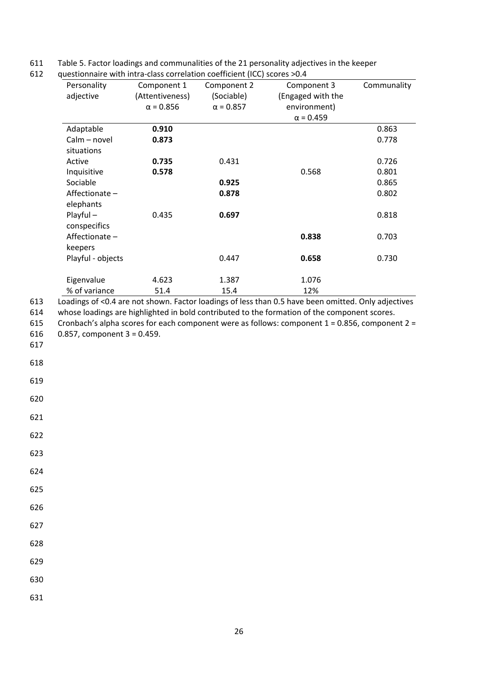611 Table 5. Factor loadings and communalities of the 21 personality adjectives in the keeper<br>612 guestionnaire with intra-class correlation coefficient (ICC) scores >0.4

|            | Personality<br>adjective    | Component 1<br>(Attentiveness)<br>$\alpha = 0.856$ | Component 2<br>(Sociable)<br>$\alpha = 0.857$ | Component 3<br>(Engaged with the<br>environment)<br>$\alpha$ = 0.459 | Communality |
|------------|-----------------------------|----------------------------------------------------|-----------------------------------------------|----------------------------------------------------------------------|-------------|
|            | Adaptable                   | 0.910                                              |                                               |                                                                      | 0.863       |
|            | Calm - novel<br>situations  | 0.873                                              |                                               |                                                                      | 0.778       |
|            | Active                      | 0.735                                              | 0.431                                         |                                                                      | 0.726       |
|            | Inquisitive                 | 0.578                                              |                                               | 0.568                                                                | 0.801       |
|            | Sociable                    |                                                    | 0.925                                         |                                                                      | 0.865       |
|            | Affectionate-<br>elephants  |                                                    | 0.878                                         |                                                                      | 0.802       |
|            | $Playful -$<br>conspecifics | 0.435                                              | 0.697                                         |                                                                      | 0.818       |
|            | Affectionate-<br>keepers    |                                                    |                                               | 0.838                                                                | 0.703       |
|            | Playful - objects           |                                                    | 0.447                                         | 0.658                                                                | 0.730       |
|            | Eigenvalue                  | 4.623                                              | 1.387                                         | 1.076                                                                |             |
|            | % of variance               | 51.4                                               | 15.4                                          | 12%                                                                  |             |
|            |                             | 0.857, component $3 = 0.459$ .                     |                                               |                                                                      |             |
| 617        |                             |                                                    |                                               |                                                                      |             |
| 618        |                             |                                                    |                                               |                                                                      |             |
| 619<br>620 |                             |                                                    |                                               |                                                                      |             |
| 621        |                             |                                                    |                                               |                                                                      |             |
| 622        |                             |                                                    |                                               |                                                                      |             |
| 623        |                             |                                                    |                                               |                                                                      |             |
| 624        |                             |                                                    |                                               |                                                                      |             |
| 625        |                             |                                                    |                                               |                                                                      |             |
| 626<br>627 |                             |                                                    |                                               |                                                                      |             |
| 628        |                             |                                                    |                                               |                                                                      |             |
| 629        |                             |                                                    |                                               |                                                                      |             |
| 630        |                             |                                                    |                                               |                                                                      |             |